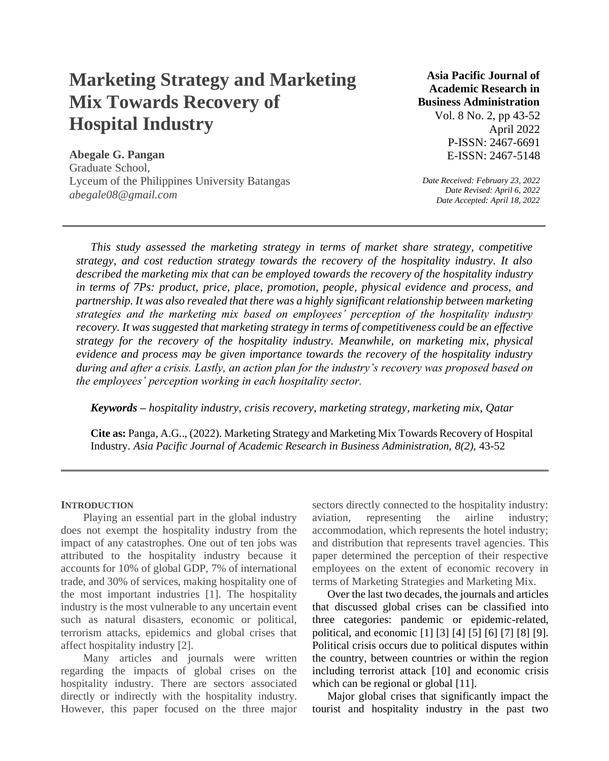# **Marketing Strategy and Marketing Mix Towards Recovery of Hospital Industry**

**Abegale G. Pangan** Graduate School, Lyceum of the Philippines University Batangas *abegale08@gmail.com*

## **Asia Pacific Journal of Academic Research in Business Administration**

Vol. 8 No. 2, pp 43-52 April 2022 P-ISSN: 2467-6691 E-ISSN: 2467-5148

*Date Received: February 23, 2022 Date Revised: April 6, 2022 Date Accepted: April 18, 2022*

*This study assessed the marketing strategy in terms of market share strategy, competitive strategy, and cost reduction strategy towards the recovery of the hospitality industry. It also described the marketing mix that can be employed towards the recovery of the hospitality industry in terms of 7Ps: product, price, place, promotion, people, physical evidence and process, and partnership. It was also revealed that there was a highly significant relationship between marketing strategies and the marketing mix based on employees' perception of the hospitality industry recovery. It was suggested that marketing strategy in terms of competitiveness could be an effective strategy for the recovery of the hospitality industry. Meanwhile, on marketing mix, physical evidence and process may be given importance towards the recovery of the hospitality industry during and after a crisis. Lastly, an action plan for the industry's recovery was proposed based on the employees' perception working in each hospitality sector.*

*Keywords – hospitality industry, crisis recovery, marketing strategy, marketing mix, Qatar*

**Cite as:** Panga, A.G.., (2022). Marketing Strategy and Marketing Mix Towards Recovery of Hospital Industry. *Asia Pacific Journal of Academic Research in Business Administration, 8(2),* 43-52

#### **INTRODUCTION**

Playing an essential part in the global industry does not exempt the hospitality industry from the impact of any catastrophes. One out of ten jobs was attributed to the hospitality industry because it accounts for 10% of global GDP, 7% of international trade, and 30% of services, making hospitality one of the most important industries [1]. The hospitality industry is the most vulnerable to any uncertain event such as natural disasters, economic or political, terrorism attacks, epidemics and global crises that affect hospitality industry [2].

Many articles and journals were written regarding the impacts of global crises on the hospitality industry. There are sectors associated directly or indirectly with the hospitality industry. However, this paper focused on the three major sectors directly connected to the hospitality industry: aviation, representing the airline industry; accommodation, which represents the hotel industry; and distribution that represents travel agencies. This paper determined the perception of their respective employees on the extent of economic recovery in terms of Marketing Strategies and Marketing Mix.

Over the last two decades, the journals and articles that discussed global crises can be classified into three categories: pandemic or epidemic-related, political, and economic [1] [3] [4] [5] [6] [7] [8] [9]. Political crisis occurs due to political disputes within the country, between countries or within the region including terrorist attack [10] and economic crisis which can be regional or global [11].

Major global crises that significantly impact the tourist and hospitality industry in the past two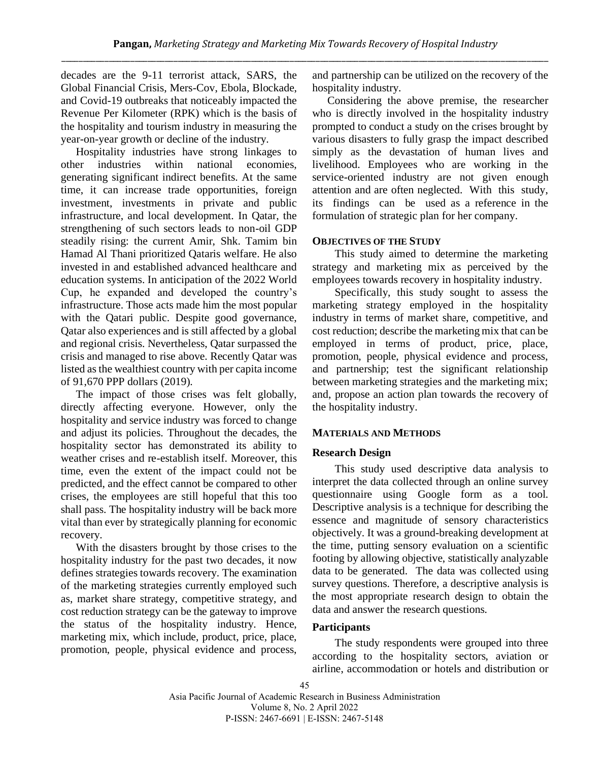decades are the 9-11 terrorist attack, SARS, the Global Financial Crisis, Mers-Cov, Ebola, Blockade, and Covid-19 outbreaks that noticeably impacted the Revenue Per Kilometer (RPK) which is the basis of the hospitality and tourism industry in measuring the year-on-year growth or decline of the industry.

Hospitality industries have strong linkages to other industries within national economies, generating significant indirect benefits. At the same time, it can increase trade opportunities, foreign investment, investments in private and public infrastructure, and local development. In Qatar, the strengthening of such sectors leads to non-oil GDP steadily rising: the current Amir, Shk. Tamim bin Hamad Al Thani prioritized Qataris welfare. He also invested in and established advanced healthcare and education systems. In anticipation of the 2022 World Cup, he expanded and developed the country's infrastructure. Those acts made him the most popular with the Qatari public. Despite good governance, Qatar also experiences and is still affected by a global and regional crisis. Nevertheless, Qatar surpassed the crisis and managed to rise above. Recently Qatar was listed as the wealthiest country with per capita income of 91,670 PPP dollars (2019).

The impact of those crises was felt globally, directly affecting everyone. However, only the hospitality and service industry was forced to change and adjust its policies. Throughout the decades, the hospitality sector has demonstrated its ability to weather crises and re-establish itself. Moreover, this time, even the extent of the impact could not be predicted, and the effect cannot be compared to other crises, the employees are still hopeful that this too shall pass. The hospitality industry will be back more vital than ever by strategically planning for economic recovery.

With the disasters brought by those crises to the hospitality industry for the past two decades, it now defines strategies towards recovery. The examination of the marketing strategies currently employed such as, market share strategy, competitive strategy, and cost reduction strategy can be the gateway to improve the status of the hospitality industry. Hence, marketing mix, which include, product, price, place, promotion, people, physical evidence and process, and partnership can be utilized on the recovery of the hospitality industry.

Considering the above premise, the researcher who is directly involved in the hospitality industry prompted to conduct a study on the crises brought by various disasters to fully grasp the impact described simply as the devastation of human lives and livelihood. Employees who are working in the service-oriented industry are not given enough attention and are often neglected. With this study, its findings can be used as a reference in the formulation of strategic plan for her company.

## **OBJECTIVES OF THE STUDY**

This study aimed to determine the marketing strategy and marketing mix as perceived by the employees towards recovery in hospitality industry.

Specifically, this study sought to assess the marketing strategy employed in the hospitality industry in terms of market share, competitive, and cost reduction; describe the marketing mix that can be employed in terms of product, price, place, promotion, people, physical evidence and process, and partnership; test the significant relationship between marketing strategies and the marketing mix; and, propose an action plan towards the recovery of the hospitality industry.

## **MATERIALS AND METHODS**

#### **Research Design**

This study used descriptive data analysis to interpret the data collected through an online survey questionnaire using Google form as a tool. Descriptive analysis is a technique for describing the essence and magnitude of sensory characteristics objectively. It was a ground-breaking development at the time, putting sensory evaluation on a scientific footing by allowing objective, statistically analyzable data to be generated. The data was collected using survey questions. Therefore, a descriptive analysis is the most appropriate research design to obtain the data and answer the research questions.

#### **Participants**

The study respondents were grouped into three according to the hospitality sectors, aviation or airline, accommodation or hotels and distribution or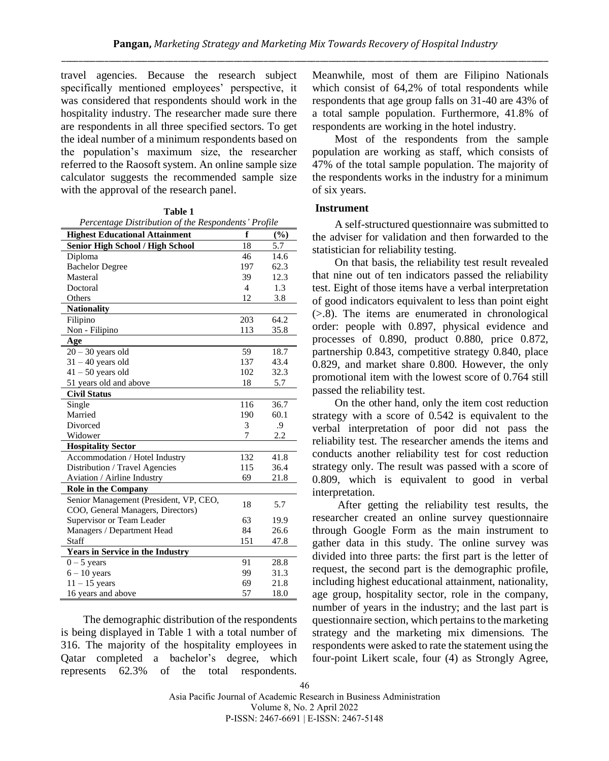travel agencies. Because the research subject specifically mentioned employees' perspective, it was considered that respondents should work in the hospitality industry. The researcher made sure there are respondents in all three specified sectors. To get the ideal number of a minimum respondents based on the population's maximum size, the researcher referred to the Raosoft system. An online sample size calculator suggests the recommended sample size with the approval of the research panel.

**Table 1**

| Percentage Distribution of the Respondents' Profile |
|-----------------------------------------------------|
|-----------------------------------------------------|

| <b>Highest Educational Attainment</b>   | f              | (%)  |
|-----------------------------------------|----------------|------|
| Senior High School / High School        | 18             | 5.7  |
| Diploma                                 | 46             | 14.6 |
| <b>Bachelor Degree</b>                  | 197            | 62.3 |
| Masteral                                | 39             | 12.3 |
| Doctoral                                | $\overline{4}$ | 1.3  |
| Others                                  | 12             | 3.8  |
| <b>Nationality</b>                      |                |      |
| Filipino                                | 203            | 64.2 |
| Non - Filipino                          | 113            | 35.8 |
| Age                                     |                |      |
| $20 - 30$ years old                     | 59             | 18.7 |
| $31 - 40$ years old                     | 137            | 43.4 |
| $41 - 50$ years old                     | 102            | 32.3 |
| 51 years old and above                  | 18             | 5.7  |
| <b>Civil Status</b>                     |                |      |
| Single                                  | 116            | 36.7 |
| Married                                 | 190            | 60.1 |
| Divorced                                | 3              | .9   |
| Widower                                 | 7              | 2.2  |
| <b>Hospitality Sector</b>               |                |      |
| Accommodation / Hotel Industry          | 132            | 41.8 |
| Distribution / Travel Agencies          | 115            | 36.4 |
| Aviation / Airline Industry             | 69             | 21.8 |
| Role in the Company                     |                |      |
| Senior Management (President, VP, CEO,  | 18             | 5.7  |
| COO, General Managers, Directors)       |                |      |
| Supervisor or Team Leader               | 63             | 19.9 |
| Managers / Department Head              | 84             | 26.6 |
| Staff                                   | 151            | 47.8 |
| <b>Years in Service in the Industry</b> |                |      |
| $0 - 5$ years                           | 91             | 28.8 |
| $6 - 10$ years                          | 99             | 31.3 |
| $11 - 15$ years                         | 69             | 21.8 |
| 16 years and above                      | 57             | 18.0 |

The demographic distribution of the respondents is being displayed in Table 1 with a total number of 316. The majority of the hospitality employees in Qatar completed a bachelor's degree, which represents 62.3% of the total respondents.

Meanwhile, most of them are Filipino Nationals which consist of 64,2% of total respondents while respondents that age group falls on 31-40 are 43% of a total sample population. Furthermore, 41.8% of respondents are working in the hotel industry.

Most of the respondents from the sample population are working as staff, which consists of 47% of the total sample population. The majority of the respondents works in the industry for a minimum of six years.

#### **Instrument**

A self-structured questionnaire was submitted to the adviser for validation and then forwarded to the statistician for reliability testing.

On that basis, the reliability test result revealed that nine out of ten indicators passed the reliability test. Eight of those items have a verbal interpretation of good indicators equivalent to less than point eight (>.8). The items are enumerated in chronological order: people with 0.897, physical evidence and processes of 0.890, product 0.880, price 0.872, partnership 0.843, competitive strategy 0.840, place 0.829, and market share 0.800. However, the only promotional item with the lowest score of 0.764 still passed the reliability test.

On the other hand, only the item cost reduction strategy with a score of 0.542 is equivalent to the verbal interpretation of poor did not pass the reliability test. The researcher amends the items and conducts another reliability test for cost reduction strategy only. The result was passed with a score of 0.809, which is equivalent to good in verbal interpretation.

After getting the reliability test results, the researcher created an online survey questionnaire through Google Form as the main instrument to gather data in this study. The online survey was divided into three parts: the first part is the letter of request, the second part is the demographic profile, including highest educational attainment, nationality, age group, hospitality sector, role in the company, number of years in the industry; and the last part is questionnaire section, which pertains to the marketing strategy and the marketing mix dimensions. The respondents were asked to rate the statement using the four-point Likert scale, four (4) as Strongly Agree,

<sup>46</sup>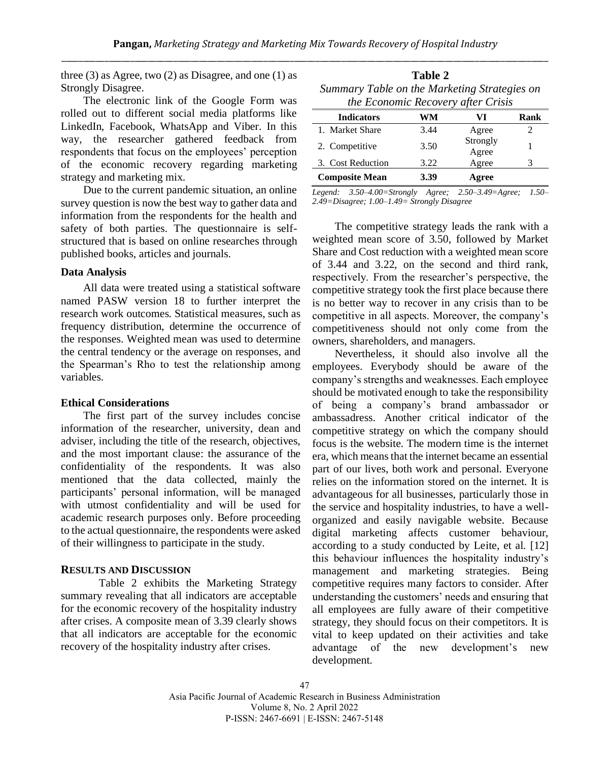three (3) as Agree, two (2) as Disagree, and one (1) as Strongly Disagree.

The electronic link of the Google Form was rolled out to different social media platforms like LinkedIn, Facebook, WhatsApp and Viber. In this way, the researcher gathered feedback from respondents that focus on the employees' perception of the economic recovery regarding marketing strategy and marketing mix.

Due to the current pandemic situation, an online survey question is now the best way to gather data and information from the respondents for the health and safety of both parties. The questionnaire is selfstructured that is based on online researches through published books, articles and journals.

#### **Data Analysis**

All data were treated using a statistical software named PASW version 18 to further interpret the research work outcomes. Statistical measures, such as frequency distribution, determine the occurrence of the responses. Weighted mean was used to determine the central tendency or the average on responses, and the Spearman's Rho to test the relationship among variables.

#### **Ethical Considerations**

The first part of the survey includes concise information of the researcher, university, dean and adviser, including the title of the research, objectives, and the most important clause: the assurance of the confidentiality of the respondents. It was also mentioned that the data collected, mainly the participants' personal information, will be managed with utmost confidentiality and will be used for academic research purposes only. Before proceeding to the actual questionnaire, the respondents were asked of their willingness to participate in the study.

#### **RESULTS AND DISCUSSION**

Table 2 exhibits the Marketing Strategy summary revealing that all indicators are acceptable for the economic recovery of the hospitality industry after crises. A composite mean of 3.39 clearly shows that all indicators are acceptable for the economic recovery of the hospitality industry after crises.

| Table 2                                      |  |  |  |
|----------------------------------------------|--|--|--|
| Summary Table on the Marketing Strategies on |  |  |  |
| the Economic Recovery after Crisis           |  |  |  |

| <b>Indicators</b>     | WM   | VI                | Rank |
|-----------------------|------|-------------------|------|
| 1. Market Share       | 3.44 | Agree             |      |
| 2. Competitive        | 3.50 | Strongly<br>Agree |      |
| 3. Cost Reduction     | 3.22 | Agree             |      |
| <b>Composite Mean</b> | 3.39 | Agree             |      |

*Legend: 3.50–4.00=Strongly Agree; 2.50–3.49=Agree; 1.50– 2.49=Disagree; 1.00–1.49= Strongly Disagree*

The competitive strategy leads the rank with a weighted mean score of 3.50, followed by Market Share and Cost reduction with a weighted mean score of 3.44 and 3.22, on the second and third rank, respectively. From the researcher's perspective, the competitive strategy took the first place because there is no better way to recover in any crisis than to be competitive in all aspects. Moreover, the company's competitiveness should not only come from the owners, shareholders, and managers.

Nevertheless, it should also involve all the employees. Everybody should be aware of the company's strengths and weaknesses. Each employee should be motivated enough to take the responsibility of being a company's brand ambassador or ambassadress. Another critical indicator of the competitive strategy on which the company should focus is the website. The modern time is the internet era, which means that the internet became an essential part of our lives, both work and personal. Everyone relies on the information stored on the internet. It is advantageous for all businesses, particularly those in the service and hospitality industries, to have a wellorganized and easily navigable website. Because digital marketing affects customer behaviour, according to a study conducted by Leite, et al. [12] this behaviour influences the hospitality industry's management and marketing strategies. Being competitive requires many factors to consider. After understanding the customers' needs and ensuring that all employees are fully aware of their competitive strategy, they should focus on their competitors. It is vital to keep updated on their activities and take advantage of the new development's new development.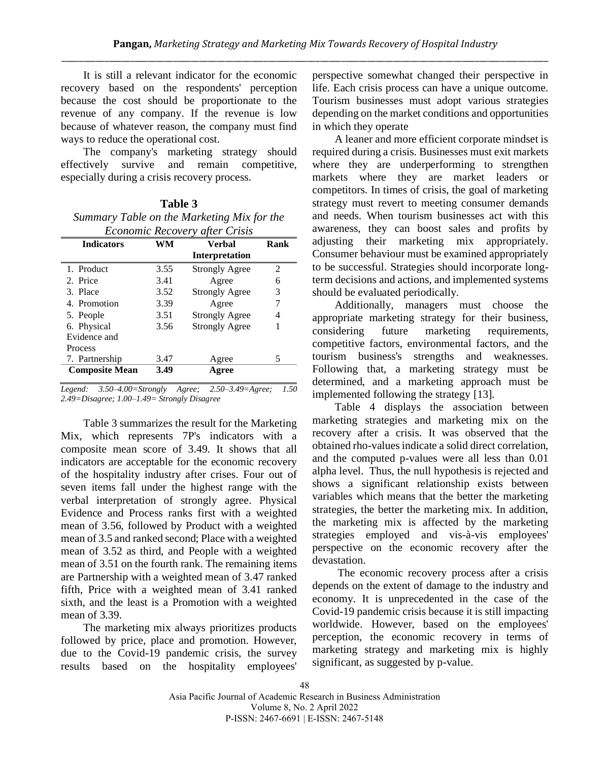It is still a relevant indicator for the economic recovery based on the respondents' perception because the cost should be proportionate to the revenue of any company. If the revenue is low because of whatever reason, the company must find ways to reduce the operational cost.

The company's marketing strategy should effectively survive and remain competitive, especially during a crisis recovery process.

| Table 3                                      |
|----------------------------------------------|
| Summary Table on the Marketing Mix for the   |
| <i><b>Economic Recovery ofter Crisis</b></i> |

| <b>Indicators</b>     | WM   | Verbal                | Rank |
|-----------------------|------|-----------------------|------|
|                       |      | Interpretation        |      |
| 1. Product            | 3.55 | <b>Strongly Agree</b> | 2    |
| 2. Price              | 3.41 | Agree                 | 6    |
| 3. Place              | 3.52 | <b>Strongly Agree</b> | 3    |
| 4. Promotion          | 3.39 | Agree                 | 7    |
| 5. People             | 3.51 | <b>Strongly Agree</b> | 4    |
| 6. Physical           | 3.56 | <b>Strongly Agree</b> |      |
| Evidence and          |      |                       |      |
| <b>Process</b>        |      |                       |      |
| 7. Partnership        | 3.47 | Agree                 | 5    |
| <b>Composite Mean</b> | 3.49 | Agree                 |      |

*Legend: 3.50–4.00=Strongly Agree; 2.50–3.49=Agree; 1.50 2.49=Disagree; 1.00–1.49= Strongly Disagree*

Table 3 summarizes the result for the Marketing Mix, which represents 7P's indicators with a composite mean score of 3.49. It shows that all indicators are acceptable for the economic recovery of the hospitality industry after crises. Four out of seven items fall under the highest range with the verbal interpretation of strongly agree. Physical Evidence and Process ranks first with a weighted mean of 3.56, followed by Product with a weighted mean of 3.5 and ranked second; Place with a weighted mean of 3.52 as third, and People with a weighted mean of 3.51 on the fourth rank. The remaining items are Partnership with a weighted mean of 3.47 ranked fifth, Price with a weighted mean of 3.41 ranked sixth, and the least is a Promotion with a weighted mean of 3.39.

The marketing mix always prioritizes products followed by price, place and promotion. However, due to the Covid-19 pandemic crisis, the survey results based on the hospitality employees' perspective somewhat changed their perspective in life. Each crisis process can have a unique outcome. Tourism businesses must adopt various strategies depending on the market conditions and opportunities in which they operate

A leaner and more efficient corporate mindset is required during a crisis. Businesses must exit markets where they are underperforming to strengthen markets where they are market leaders or competitors. In times of crisis, the goal of marketing strategy must revert to meeting consumer demands and needs. When tourism businesses act with this awareness, they can boost sales and profits by adjusting their marketing mix appropriately. Consumer behaviour must be examined appropriately to be successful. Strategies should incorporate longterm decisions and actions, and implemented systems should be evaluated periodically.

Additionally, managers must choose the appropriate marketing strategy for their business, considering future marketing requirements, competitive factors, environmental factors, and the tourism business's strengths and weaknesses. Following that, a marketing strategy must be determined, and a marketing approach must be implemented following the strategy [13].

Table 4 displays the association between marketing strategies and marketing mix on the recovery after a crisis. It was observed that the obtained rho-values indicate a solid direct correlation, and the computed p-values were all less than 0.01 alpha level. Thus, the null hypothesis is rejected and shows a significant relationship exists between variables which means that the better the marketing strategies, the better the marketing mix. In addition, the marketing mix is affected by the marketing strategies employed and vis-à-vis employees' perspective on the economic recovery after the devastation.

The economic recovery process after a crisis depends on the extent of damage to the industry and economy. It is unprecedented in the case of the Covid-19 pandemic crisis because it is still impacting worldwide. However, based on the employees' perception, the economic recovery in terms of marketing strategy and marketing mix is highly significant, as suggested by p-value.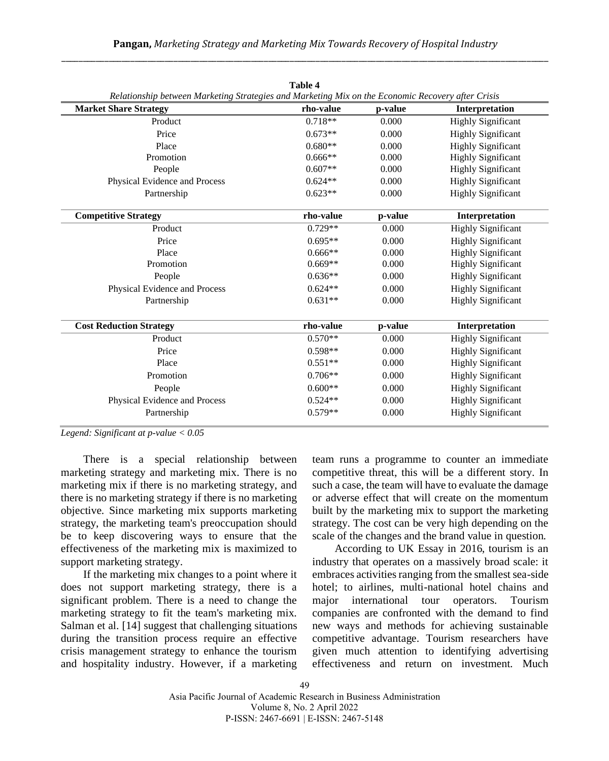|                                                                                                   | <b>Table 4</b> |         |                           |
|---------------------------------------------------------------------------------------------------|----------------|---------|---------------------------|
| Relationship between Marketing Strategies and Marketing Mix on the Economic Recovery after Crisis |                |         |                           |
| <b>Market Share Strategy</b>                                                                      | rho-value      | p-value | Interpretation            |
| Product                                                                                           | $0.718**$      | 0.000   | <b>Highly Significant</b> |
| Price                                                                                             | $0.673**$      | 0.000   | <b>Highly Significant</b> |
| Place                                                                                             | $0.680**$      | 0.000   | <b>Highly Significant</b> |
| Promotion                                                                                         | $0.666**$      | 0.000   | <b>Highly Significant</b> |
| People                                                                                            | $0.607**$      | 0.000   | <b>Highly Significant</b> |
| Physical Evidence and Process                                                                     | $0.624**$      | 0.000   | <b>Highly Significant</b> |
| Partnership                                                                                       | $0.623**$      | 0.000   | <b>Highly Significant</b> |
| <b>Competitive Strategy</b>                                                                       | rho-value      | p-value | Interpretation            |
| Product                                                                                           | $0.729**$      | 0.000   | <b>Highly Significant</b> |
| Price                                                                                             | $0.695**$      | 0.000   | <b>Highly Significant</b> |
| Place                                                                                             | $0.666**$      | 0.000   | <b>Highly Significant</b> |
| Promotion                                                                                         | $0.669**$      | 0.000   | <b>Highly Significant</b> |
| People                                                                                            | $0.636**$      | 0.000   | <b>Highly Significant</b> |
| Physical Evidence and Process                                                                     | $0.624**$      | 0.000   | <b>Highly Significant</b> |
| Partnership                                                                                       | $0.631**$      | 0.000   | <b>Highly Significant</b> |
| <b>Cost Reduction Strategy</b>                                                                    | rho-value      | p-value | Interpretation            |
| Product                                                                                           | $0.570**$      | 0.000   | <b>Highly Significant</b> |
| Price                                                                                             | $0.598**$      | 0.000   | <b>Highly Significant</b> |
| Place                                                                                             | $0.551**$      | 0.000   | <b>Highly Significant</b> |
| Promotion                                                                                         | $0.706**$      | 0.000   | <b>Highly Significant</b> |
| People                                                                                            | $0.600**$      | 0.000   | <b>Highly Significant</b> |
| Physical Evidence and Process                                                                     | $0.524**$      | 0.000   | <b>Highly Significant</b> |
| Partnership                                                                                       | $0.579**$      | 0.000   | <b>Highly Significant</b> |
|                                                                                                   |                |         |                           |

*Legend: Significant at p-value < 0.05*

There is a special relationship between marketing strategy and marketing mix. There is no marketing mix if there is no marketing strategy, and there is no marketing strategy if there is no marketing objective. Since marketing mix supports marketing strategy, the marketing team's preoccupation should be to keep discovering ways to ensure that the effectiveness of the marketing mix is maximized to support marketing strategy.

If the marketing mix changes to a point where it does not support marketing strategy, there is a significant problem. There is a need to change the marketing strategy to fit the team's marketing mix. Salman et al. [14] suggest that challenging situations during the transition process require an effective crisis management strategy to enhance the tourism and hospitality industry. However, if a marketing team runs a programme to counter an immediate competitive threat, this will be a different story. In such a case, the team will have to evaluate the damage or adverse effect that will create on the momentum built by the marketing mix to support the marketing strategy. The cost can be very high depending on the scale of the changes and the brand value in question.

According to UK Essay in 2016, tourism is an industry that operates on a massively broad scale: it embraces activities ranging from the smallest sea-side hotel; to airlines, multi-national hotel chains and major international tour operators. Tourism companies are confronted with the demand to find new ways and methods for achieving sustainable competitive advantage. Tourism researchers have given much attention to identifying advertising effectiveness and return on investment. Much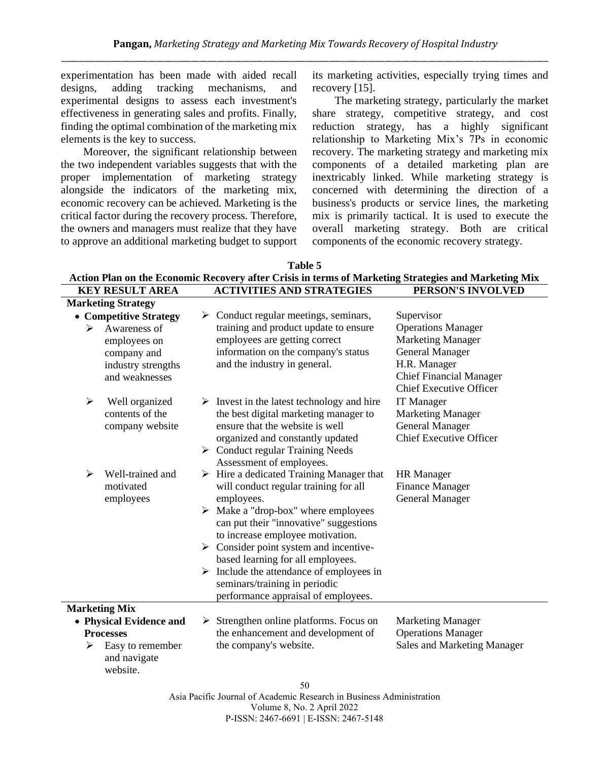**Table 5** 

experimentation has been made with aided recall designs, adding tracking mechanisms, and experimental designs to assess each investment's effectiveness in generating sales and profits. Finally, finding the optimal combination of the marketing mix elements is the key to success.

Moreover, the significant relationship between the two independent variables suggests that with the proper implementation of marketing strategy alongside the indicators of the marketing mix, economic recovery can be achieved. Marketing is the critical factor during the recovery process. Therefore, the owners and managers must realize that they have to approve an additional marketing budget to support

its marketing activities, especially trying times and recovery [15].

The marketing strategy, particularly the market share strategy, competitive strategy, and cost reduction strategy, has a highly significant relationship to Marketing Mix's 7Ps in economic recovery. The marketing strategy and marketing mix components of a detailed marketing plan are inextricably linked. While marketing strategy is concerned with determining the direction of a business's products or service lines, the marketing mix is primarily tactical. It is used to execute the overall marketing strategy. Both are critical components of the economic recovery strategy.

| 1 adie 5<br>Action Plan on the Economic Recovery after Crisis in terms of Marketing Strategies and Marketing Mix                                |                                                                                                                                                                                                                                                                                                                                                                                                                                                                                                                 |                                                                                                                                          |  |
|-------------------------------------------------------------------------------------------------------------------------------------------------|-----------------------------------------------------------------------------------------------------------------------------------------------------------------------------------------------------------------------------------------------------------------------------------------------------------------------------------------------------------------------------------------------------------------------------------------------------------------------------------------------------------------|------------------------------------------------------------------------------------------------------------------------------------------|--|
| <b>KEY RESULT AREA</b>                                                                                                                          | <b>ACTIVITIES AND STRATEGIES</b>                                                                                                                                                                                                                                                                                                                                                                                                                                                                                | PERSON'S INVOLVED                                                                                                                        |  |
| <b>Marketing Strategy</b><br>• Competitive Strategy<br>Awareness of<br>⋗<br>employees on<br>company and<br>industry strengths<br>and weaknesses | $\triangleright$ Conduct regular meetings, seminars,<br>training and product update to ensure<br>employees are getting correct<br>information on the company's status<br>and the industry in general.                                                                                                                                                                                                                                                                                                           | Supervisor<br><b>Operations Manager</b><br><b>Marketing Manager</b><br>General Manager<br>H.R. Manager<br><b>Chief Financial Manager</b> |  |
| ➤<br>Well organized<br>contents of the<br>company website                                                                                       | $\triangleright$ Invest in the latest technology and hire<br>the best digital marketing manager to<br>ensure that the website is well<br>organized and constantly updated<br>$\triangleright$ Conduct regular Training Needs                                                                                                                                                                                                                                                                                    | <b>Chief Executive Officer</b><br><b>IT Manager</b><br><b>Marketing Manager</b><br>General Manager<br><b>Chief Executive Officer</b>     |  |
| Well-trained and<br>➤<br>motivated<br>employees                                                                                                 | Assessment of employees.<br>$\triangleright$ Hire a dedicated Training Manager that<br>will conduct regular training for all<br>employees.<br>$\triangleright$ Make a "drop-box" where employees<br>can put their "innovative" suggestions<br>to increase employee motivation.<br>$\triangleright$ Consider point system and incentive-<br>based learning for all employees.<br>$\triangleright$ Include the attendance of employees in<br>seminars/training in periodic<br>performance appraisal of employees. | <b>HR</b> Manager<br><b>Finance Manager</b><br><b>General Manager</b>                                                                    |  |
| <b>Marketing Mix</b>                                                                                                                            |                                                                                                                                                                                                                                                                                                                                                                                                                                                                                                                 |                                                                                                                                          |  |
| • Physical Evidence and<br><b>Processes</b><br>Easy to remember<br>➤<br>and navigate<br>website.                                                | $\triangleright$ Strengthen online platforms. Focus on<br>the enhancement and development of<br>the company's website.<br>50                                                                                                                                                                                                                                                                                                                                                                                    | <b>Marketing Manager</b><br><b>Operations Manager</b><br>Sales and Marketing Manager                                                     |  |
|                                                                                                                                                 | $\mathbf{r}$ $\mathbf{r}$ $\mathbf{r}$ $\mathbf{r}$ $\mathbf{r}$ $\mathbf{r}$ $\mathbf{r}$ $\mathbf{r}$ $\mathbf{r}$ $\mathbf{r}$ $\mathbf{r}$ $\mathbf{r}$ $\mathbf{r}$ $\mathbf{r}$ $\mathbf{r}$ $\mathbf{r}$ $\mathbf{r}$ $\mathbf{r}$ $\mathbf{r}$ $\mathbf{r}$ $\mathbf{r}$ $\mathbf{r}$ $\mathbf{r}$ $\mathbf{r}$ $\mathbf{$<br>$\mathbf{1}$ $\mathbf{1}$ $\mathbf{1}$ $\mathbf{1}$ $\mathbf{1}$ $\mathbf{1}$ $\mathbf{1}$                                                                                | the state of the state of the                                                                                                            |  |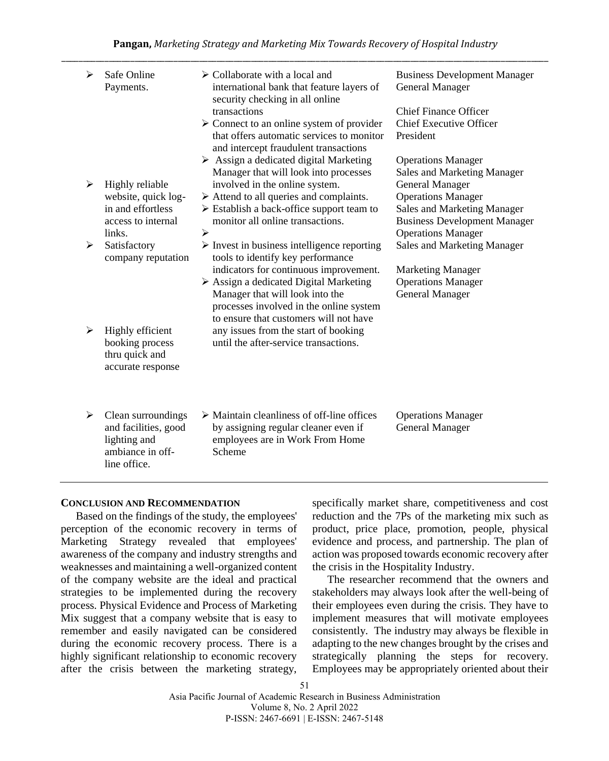| ➤ | Safe Online<br>Payments.                 | $\triangleright$ Collaborate with a local and<br>international bank that feature layers of<br>security checking in all online                  | <b>Business Development Manager</b><br>General Manager   |
|---|------------------------------------------|------------------------------------------------------------------------------------------------------------------------------------------------|----------------------------------------------------------|
|   |                                          | transactions                                                                                                                                   | <b>Chief Finance Officer</b>                             |
|   |                                          | $\triangleright$ Connect to an online system of provider<br>that offers automatic services to monitor<br>and intercept fraudulent transactions | <b>Chief Executive Officer</b><br>President              |
|   |                                          | $\triangleright$ Assign a dedicated digital Marketing<br>Manager that will look into processes                                                 | <b>Operations Manager</b><br>Sales and Marketing Manager |
| ➤ | Highly reliable                          | involved in the online system.                                                                                                                 | <b>General Manager</b>                                   |
|   | website, quick log-<br>in and effortless | $\triangleright$ Attend to all queries and complaints.<br>$\triangleright$ Establish a back-office support team to                             | <b>Operations Manager</b><br>Sales and Marketing Manager |
|   | access to internal                       | monitor all online transactions.                                                                                                               | <b>Business Development Manager</b>                      |
|   | links.                                   | ⋗                                                                                                                                              | <b>Operations Manager</b>                                |
| ≻ | Satisfactory<br>company reputation       | $\triangleright$ Invest in business intelligence reporting<br>tools to identify key performance                                                | Sales and Marketing Manager                              |
|   |                                          | indicators for continuous improvement.                                                                                                         | <b>Marketing Manager</b>                                 |
|   |                                          | $\triangleright$ Assign a dedicated Digital Marketing<br>Manager that will look into the                                                       | <b>Operations Manager</b><br><b>General Manager</b>      |
|   |                                          | processes involved in the online system                                                                                                        |                                                          |
| ➤ |                                          | to ensure that customers will not have                                                                                                         |                                                          |
|   | Highly efficient<br>booking process      | any issues from the start of booking<br>until the after-service transactions.                                                                  |                                                          |
|   | thru quick and                           |                                                                                                                                                |                                                          |
|   | accurate response                        |                                                                                                                                                |                                                          |
|   |                                          |                                                                                                                                                |                                                          |
| ➤ | Clean surroundings                       | $\triangleright$ Maintain cleanliness of off-line offices                                                                                      | <b>Operations Manager</b>                                |
|   | and facilities, good                     | by assigning regular cleaner even if                                                                                                           | <b>General Manager</b>                                   |
|   | lighting and<br>ambiance in off-         | employees are in Work From Home<br>Scheme                                                                                                      |                                                          |

#### **CONCLUSION AND RECOMMENDATION**

line office.

Based on the findings of the study, the employees' perception of the economic recovery in terms of Marketing Strategy revealed that employees' awareness of the company and industry strengths and weaknesses and maintaining a well-organized content of the company website are the ideal and practical strategies to be implemented during the recovery process. Physical Evidence and Process of Marketing Mix suggest that a company website that is easy to remember and easily navigated can be considered during the economic recovery process. There is a highly significant relationship to economic recovery after the crisis between the marketing strategy,

specifically market share, competitiveness and cost reduction and the 7Ps of the marketing mix such as product, price place, promotion, people, physical evidence and process, and partnership. The plan of action was proposed towards economic recovery after the crisis in the Hospitality Industry.

The researcher recommend that the owners and stakeholders may always look after the well-being of their employees even during the crisis. They have to implement measures that will motivate employees consistently. The industry may always be flexible in adapting to the new changes brought by the crises and strategically planning the steps for recovery. Employees may be appropriately oriented about their